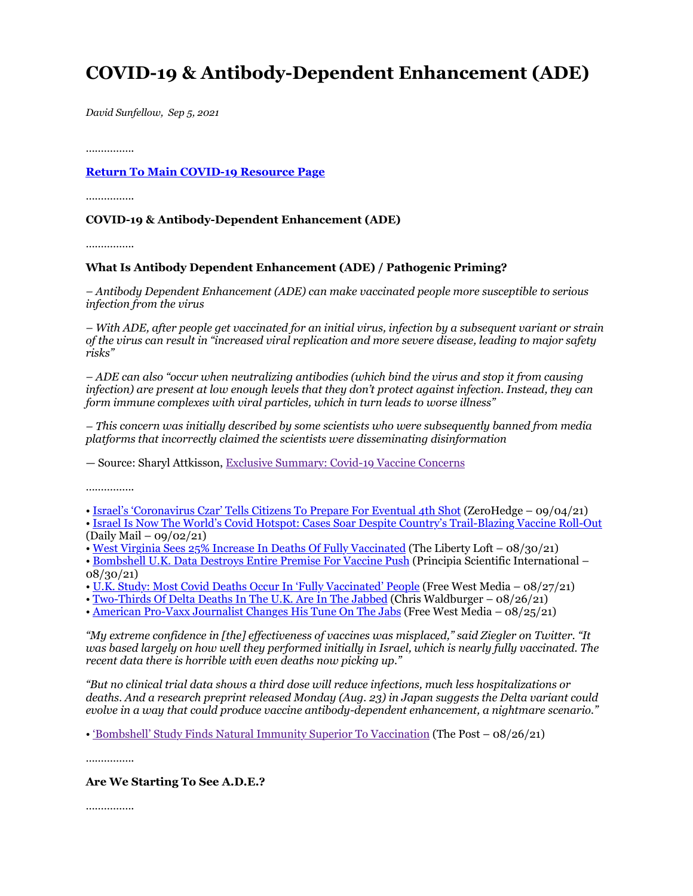# **COVID-19 & Antibody-Dependent Enhancement (ADE)**

*David Sunfellow, Sep 5, 2021*

……………

## **Return To Main COVID-19 Resource Page**

……………

## **COVID-19 & Antibody-Dependent Enhancement (ADE)**

…………….

#### **What Is Antibody Dependent Enhancement (ADE) / Pathogenic Priming?**

*– Antibody Dependent Enhancement (ADE) can make vaccinated people more susceptible to serious infection from the virus*

*– With ADE, after people get vaccinated for an initial virus, infection by a subsequent variant or strain of the virus can result in "increased viral replication and more severe disease, leading to major safety risks"*

*– ADE can also "occur when neutralizing antibodies (which bind the virus and stop it from causing infection) are present at low enough levels that they don't protect against infection. Instead, they can form immune complexes with viral particles, which in turn leads to worse illness"*

*– This concern was initially described by some scientists who were subsequently banned from media platforms that incorrectly claimed the scientists were disseminating disinformation*

— Source: Sharyl Attkisson, Exclusive Summary: Covid-19 Vaccine Concerns

………………

• Israel's 'Coronavirus Czar' Tells Citizens To Prepare For Eventual 4th Shot (ZeroHedge – 09/04/21)

• Israel Is Now The World's Covid Hotspot: Cases Soar Despite Country's Trail-Blazing Vaccine Roll-Out (Daily Mail – 09/02/21)

• West Virginia Sees 25% Increase In Deaths Of Fully Vaccinated (The Liberty Loft – 08/30/21)

• Bombshell U.K. Data Destroys Entire Premise For Vaccine Push (Principia Scientific International – 08/30/21)

• U.K. Study: Most Covid Deaths Occur In 'Fully Vaccinated' People (Free West Media – 08/27/21)

• Two-Thirds Of Delta Deaths In The U.K. Are In The Jabbed (Chris Waldburger –  $08/26/21$ )

• American Pro-Vaxx Journalist Changes His Tune On The Jabs (Free West Media – 08/25/21)

*"My extreme confidence in [the] effectiveness of vaccines was misplaced," said Ziegler on Twitter. "It was based largely on how well they performed initially in Israel, which is nearly fully vaccinated. The recent data there is horrible with even deaths now picking up."*

*"But no clinical trial data shows a third dose will reduce infections, much less hospitalizations or deaths. And a research preprint released Monday (Aug. 23) in Japan suggests the Delta variant could evolve in a way that could produce vaccine antibody-dependent enhancement, a nightmare scenario."*

• 'Bombshell' Study Finds Natural Immunity Superior To Vaccination (The Post – 08/26/21)

……………

**Are We Starting To See A.D.E.?**

……………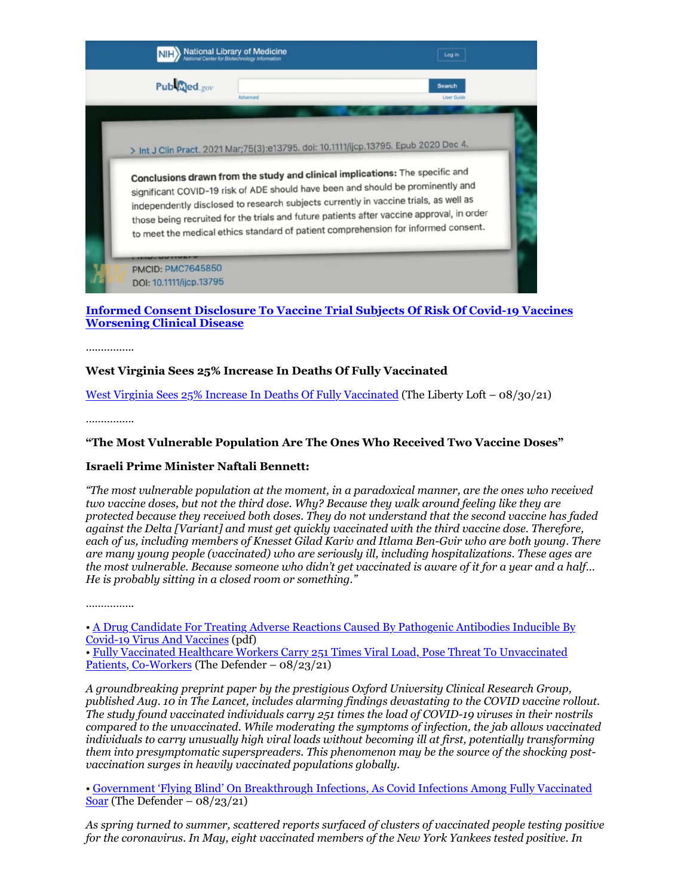

# **Informed Consent Disclosure To Vaccine Trial Subjects Of Risk Of Covid-19 Vaccines Worsening Clinical Disease**

……………

# **West Virginia Sees 25% Increase In Deaths Of Fully Vaccinated**

West Virginia Sees 25% Increase In Deaths Of Fully Vaccinated (The Liberty Loft – 08/30/21)

………………

# **"The Most Vulnerable Population Are The Ones Who Received Two Vaccine Doses"**

## **Israeli Prime Minister Naftali Bennett:**

*"The most vulnerable population at the moment, in a paradoxical manner, are the ones who received two vaccine doses, but not the third dose. Why? Because they walk around feeling like they are protected because they received both doses. They do not understand that the second vaccine has faded against the Delta [Variant] and must get quickly vaccinated with the third vaccine dose. Therefore, each of us, including members of Knesset Gilad Kariv and Itlama Ben-Gvir who are both young. There are many young people (vaccinated) who are seriously ill, including hospitalizations. These ages are the most vulnerable. Because someone who didn't get vaccinated is aware of it for a year and a half… He is probably sitting in a closed room or something."*

……………

• A Drug Candidate For Treating Adverse Reactions Caused By Pathogenic Antibodies Inducible By Covid-19 Virus And Vaccines (pdf) • Fully Vaccinated Healthcare Workers Carry 251 Times Viral Load, Pose Threat To Unvaccinated Patients, Co-Workers (The Defender – 08/23/21)

*A groundbreaking preprint paper by the prestigious Oxford University Clinical Research Group, published Aug. 10 in The Lancet, includes alarming findings devastating to the COVID vaccine rollout. The study found vaccinated individuals carry 251 times the load of COVID-19 viruses in their nostrils compared to the unvaccinated. While moderating the symptoms of infection, the jab allows vaccinated individuals to carry unusually high viral loads without becoming ill at first, potentially transforming them into presymptomatic superspreaders. This phenomenon may be the source of the shocking postvaccination surges in heavily vaccinated populations globally.*

• Government 'Flying Blind' On Breakthrough Infections, As Covid Infections Among Fully Vaccinated Soar (The Defender –  $08/23/21$ )

*As spring turned to summer, scattered reports surfaced of clusters of vaccinated people testing positive for the coronavirus. In May, eight vaccinated members of the New York Yankees tested positive. In*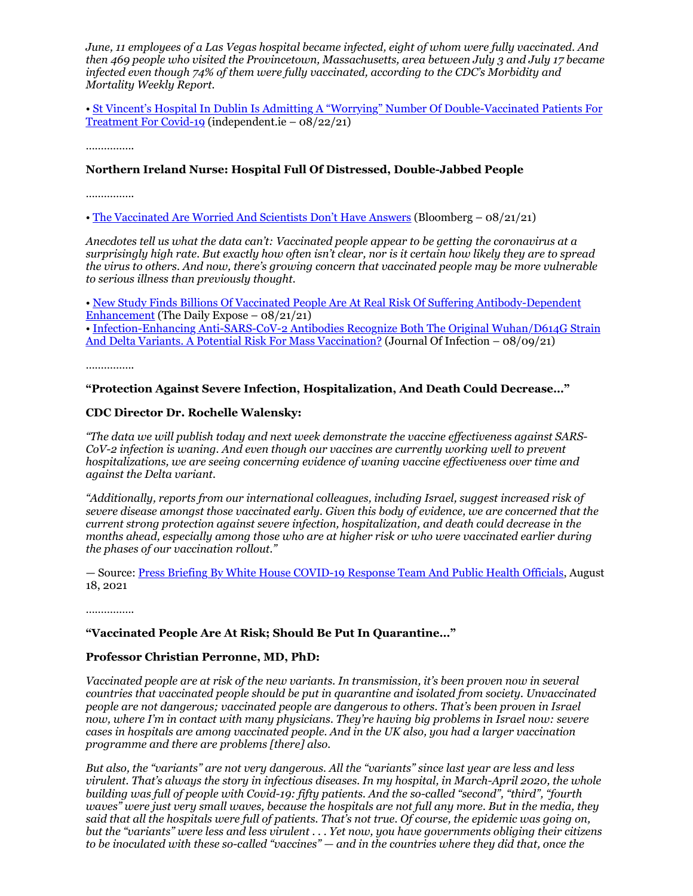*June, 11 employees of a Las Vegas hospital became infected, eight of whom were fully vaccinated. And then 469 people who visited the Provincetown, Massachusetts, area between July 3 and July 17 became infected even though 74% of them were fully vaccinated, according to the CDC's Morbidity and Mortality Weekly Report.*

• St Vincent's Hospital In Dublin Is Admitting A "Worrying" Number Of Double-Vaccinated Patients For Treatment For Covid-19 (independent.ie – 08/22/21)

……………

## **Northern Ireland Nurse: Hospital Full Of Distressed, Double-Jabbed People**

………………

• The Vaccinated Are Worried And Scientists Don't Have Answers (Bloomberg – 08/21/21)

*Anecdotes tell us what the data can't: Vaccinated people appear to be getting the coronavirus at a surprisingly high rate. But exactly how often isn't clear, nor is it certain how likely they are to spread the virus to others. And now, there's growing concern that vaccinated people may be more vulnerable to serious illness than previously thought.*

• New Study Finds Billions Of Vaccinated People Are At Real Risk Of Suffering Antibody-Dependent Enhancement (The Daily Expose – 08/21/21)

• Infection-Enhancing Anti-SARS-CoV-2 Antibodies Recognize Both The Original Wuhan/D614G Strain And Delta Variants. A Potential Risk For Mass Vaccination? (Journal Of Infection – 08/09/21)

…………….

## **"Protection Against Severe Infection, Hospitalization, And Death Could Decrease…"**

## **CDC Director Dr. Rochelle Walensky:**

*"The data we will publish today and next week demonstrate the vaccine effectiveness against SARS-CoV-2 infection is waning. And even though our vaccines are currently working well to prevent hospitalizations, we are seeing concerning evidence of waning vaccine effectiveness over time and against the Delta variant.*

*"Additionally, reports from our international colleagues, including Israel, suggest increased risk of severe disease amongst those vaccinated early. Given this body of evidence, we are concerned that the current strong protection against severe infection, hospitalization, and death could decrease in the months ahead, especially among those who are at higher risk or who were vaccinated earlier during the phases of our vaccination rollout."*

— Source: Press Briefing By White House COVID-19 Response Team And Public Health Officials, August 18, 2021

……………

#### **"Vaccinated People Are At Risk; Should Be Put In Quarantine…"**

#### **Professor Christian Perronne, MD, PhD:**

*Vaccinated people are at risk of the new variants. In transmission, it's been proven now in several countries that vaccinated people should be put in quarantine and isolated from society. Unvaccinated people are not dangerous; vaccinated people are dangerous to others. That's been proven in Israel now, where I'm in contact with many physicians. They're having big problems in Israel now: severe cases in hospitals are among vaccinated people. And in the UK also, you had a larger vaccination programme and there are problems [there] also.*

*But also, the "variants" are not very dangerous. All the "variants" since last year are less and less virulent. That's always the story in infectious diseases. In my hospital, in March-April 2020, the whole building was full of people with Covid-19: fifty patients. And the so-called "second", "third", "fourth waves" were just very small waves, because the hospitals are not full any more. But in the media, they said that all the hospitals were full of patients. That's not true. Of course, the epidemic was going on, but the "variants" were less and less virulent . . . Yet now, you have governments obliging their citizens to be inoculated with these so-called "vaccines" — and in the countries where they did that, once the*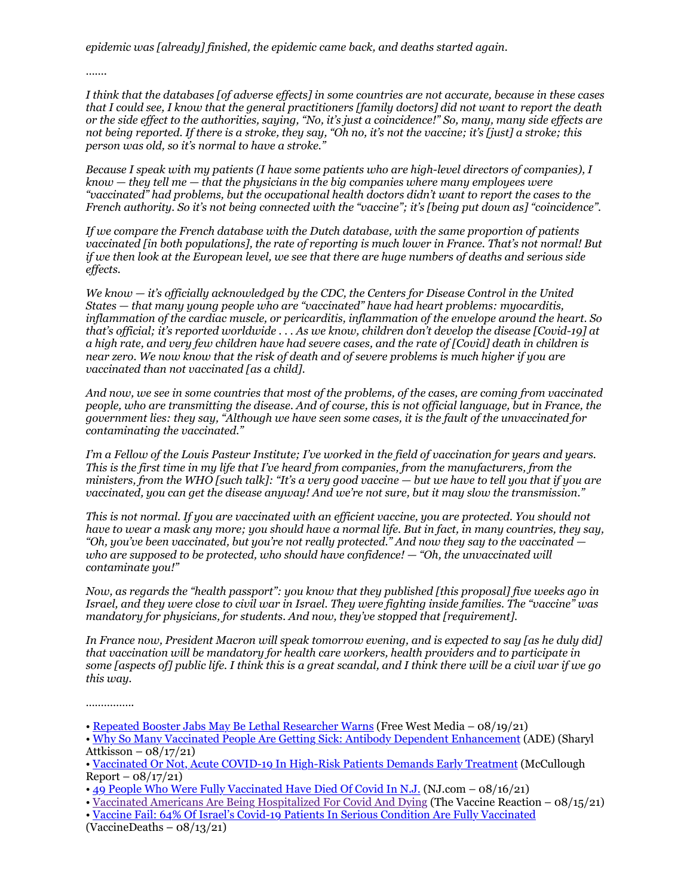*epidemic was [already] finished, the epidemic came back, and deaths started again.*

……

*I think that the databases [of adverse effects] in some countries are not accurate, because in these cases that I could see, I know that the general practitioners [family doctors] did not want to report the death or the side effect to the authorities, saying, "No, it's just a coincidence!" So, many, many side effects are not being reported. If there is a stroke, they say, "Oh no, it's not the vaccine; it's [just] a stroke; this person was old, so it's normal to have a stroke."*

*Because I speak with my patients (I have some patients who are high-level directors of companies), I know — they tell me — that the physicians in the big companies where many employees were "vaccinated" had problems, but the occupational health doctors didn't want to report the cases to the French authority. So it's not being connected with the "vaccine"; it's [being put down as] "coincidence".*

*If we compare the French database with the Dutch database, with the same proportion of patients vaccinated [in both populations], the rate of reporting is much lower in France. That's not normal! But if we then look at the European level, we see that there are huge numbers of deaths and serious side effects.*

*We know — it's officially acknowledged by the CDC, the Centers for Disease Control in the United States — that many young people who are "vaccinated" have had heart problems: myocarditis, inflammation of the cardiac muscle, or pericarditis, inflammation of the envelope around the heart. So that's official; it's reported worldwide . . . As we know, children don't develop the disease [Covid-19] at a high rate, and very few children have had severe cases, and the rate of [Covid] death in children is near zero. We now know that the risk of death and of severe problems is much higher if you are vaccinated than not vaccinated [as a child].*

*And now, we see in some countries that most of the problems, of the cases, are coming from vaccinated people, who are transmitting the disease. And of course, this is not official language, but in France, the government lies: they say, "Although we have seen some cases, it is the fault of the unvaccinated for contaminating the vaccinated."*

*I'm a Fellow of the Louis Pasteur Institute; I've worked in the field of vaccination for years and years. This is the first time in my life that I've heard from companies, from the manufacturers, from the ministers, from the WHO [such talk]: "It's a very good vaccine — but we have to tell you that if you are vaccinated, you can get the disease anyway! And we're not sure, but it may slow the transmission."*

*This is not normal. If you are vaccinated with an efficient vaccine, you are protected. You should not have to wear a mask any more; you should have a normal life. But in fact, in many countries, they say, "Oh, you've been vaccinated, but you're not really protected." And now they say to the vaccinated who are supposed to be protected, who should have confidence! — "Oh, the unvaccinated will contaminate you!"*

*Now, as regards the "health passport": you know that they published [this proposal] five weeks ago in Israel, and they were close to civil war in Israel. They were fighting inside families. The "vaccine" was mandatory for physicians, for students. And now, they've stopped that [requirement].*

*In France now, President Macron will speak tomorrow evening, and is expected to say [as he duly did] that vaccination will be mandatory for health care workers, health providers and to participate in some [aspects of] public life. I think this is a great scandal, and I think there will be a civil war if we go this way.*

……………

<sup>•</sup> Repeated Booster Jabs May Be Lethal Researcher Warns (Free West Media – 08/19/21)

<sup>•</sup> Why So Many Vaccinated People Are Getting Sick: Antibody Dependent Enhancement (ADE) (Sharyl Attkisson –  $08/17/21$ 

<sup>•</sup> Vaccinated Or Not, Acute COVID-19 In High-Risk Patients Demands Early Treatment (McCullough  $Report - 08/17/21)$ 

<sup>• 49</sup> People Who Were Fully Vaccinated Have Died Of Covid In N.J. (NJ.com – 08/16/21)

<sup>•</sup> Vaccinated Americans Are Being Hospitalized For Covid And Dying (The Vaccine Reaction – 08/15/21)

<sup>•</sup> Vaccine Fail: 64% Of Israel's Covid-19 Patients In Serious Condition Are Fully Vaccinated  $(VacineDeaths - 08/13/21)$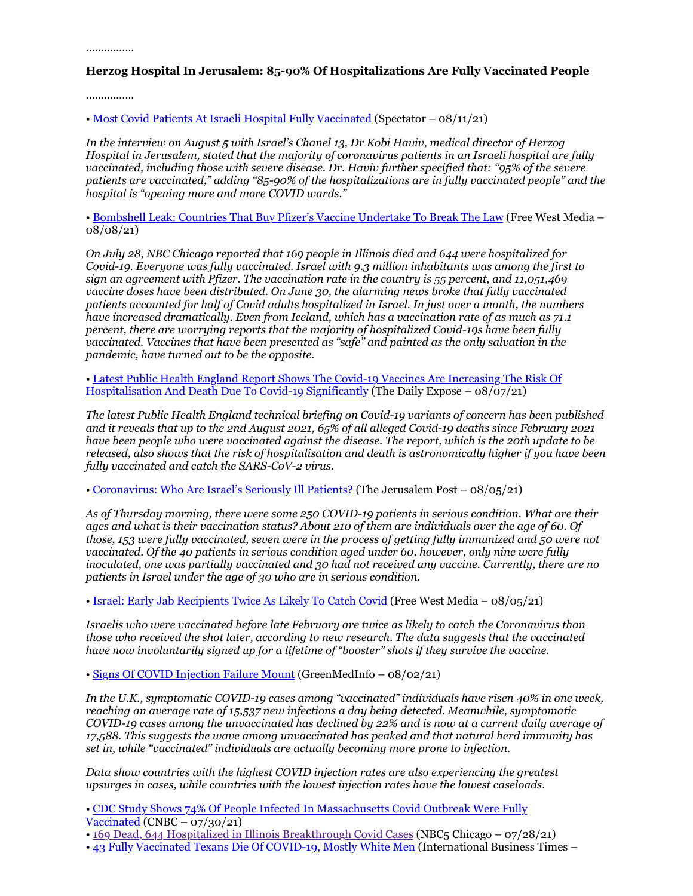……………

# **Herzog Hospital In Jerusalem: 85-90% Of Hospitalizations Are Fully Vaccinated People**

……………

• Most Covid Patients At Israeli Hospital Fully Vaccinated (Spectator – 08/11/21)

*In the interview on August 5 with Israel's Chanel 13, Dr Kobi Haviv, medical director of Herzog Hospital in Jerusalem, stated that the majority of coronavirus patients in an Israeli hospital are fully vaccinated, including those with severe disease. Dr. Haviv further specified that: "95% of the severe patients are vaccinated," adding "85-90% of the hospitalizations are in fully vaccinated people" and the hospital is "opening more and more COVID wards."*

• Bombshell Leak: Countries That Buy Pfizer's Vaccine Undertake To Break The Law (Free West Media – 08/08/21)

*On July 28, NBC Chicago reported that 169 people in Illinois died and 644 were hospitalized for Covid-19. Everyone was fully vaccinated. Israel with 9.3 million inhabitants was among the first to sign an agreement with Pfizer. The vaccination rate in the country is 55 percent, and 11,051,469 vaccine doses have been distributed. On June 30, the alarming news broke that fully vaccinated patients accounted for half of Covid adults hospitalized in Israel. In just over a month, the numbers have increased dramatically. Even from Iceland, which has a vaccination rate of as much as 71.1 percent, there are worrying reports that the majority of hospitalized Covid-19s have been fully vaccinated. Vaccines that have been presented as "safe" and painted as the only salvation in the pandemic, have turned out to be the opposite.*

• Latest Public Health England Report Shows The Covid-19 Vaccines Are Increasing The Risk Of Hospitalisation And Death Due To Covid-19 Significantly (The Daily Expose – 08/07/21)

*The latest Public Health England technical briefing on Covid-19 variants of concern has been published and it reveals that up to the 2nd August 2021, 65% of all alleged Covid-19 deaths since February 2021 have been people who were vaccinated against the disease. The report, which is the 20th update to be released, also shows that the risk of hospitalisation and death is astronomically higher if you have been fully vaccinated and catch the SARS-CoV-2 virus.*

• Coronavirus: Who Are Israel's Seriously Ill Patients? (The Jerusalem Post – 08/05/21)

*As of Thursday morning, there were some 250 COVID-19 patients in serious condition. What are their ages and what is their vaccination status? About 210 of them are individuals over the age of 60. Of those, 153 were fully vaccinated, seven were in the process of getting fully immunized and 50 were not vaccinated. Of the 40 patients in serious condition aged under 60, however, only nine were fully inoculated, one was partially vaccinated and 30 had not received any vaccine. Currently, there are no patients in Israel under the age of 30 who are in serious condition.*

• Israel: Early Jab Recipients Twice As Likely To Catch Covid (Free West Media – 08/05/21)

*Israelis who were vaccinated before late February are twice as likely to catch the Coronavirus than those who received the shot later, according to new research. The data suggests that the vaccinated have now involuntarily signed up for a lifetime of "booster" shots if they survive the vaccine.*

• Signs Of COVID Injection Failure Mount (GreenMedInfo – 08/02/21)

*In the U.K., symptomatic COVID-19 cases among "vaccinated" individuals have risen 40% in one week, reaching an average rate of 15,537 new infections a day being detected. Meanwhile, symptomatic COVID-19 cases among the unvaccinated has declined by 22% and is now at a current daily average of 17,588. This suggests the wave among unvaccinated has peaked and that natural herd immunity has set in, while "vaccinated" individuals are actually becoming more prone to infection.*

*Data show countries with the highest COVID injection rates are also experiencing the greatest upsurges in cases, while countries with the lowest injection rates have the lowest caseloads.*

• CDC Study Shows 74% Of People Infected In Massachusetts Covid Outbreak Were Fully Vaccinated  $(CNBC - 07/30/21)$ 

• 169 Dead, 644 Hospitalized in Illinois Breakthrough Covid Cases (NBC5 Chicago – 07/28/21)

• 43 Fully Vaccinated Texans Die Of COVID-19, Mostly White Men (International Business Times –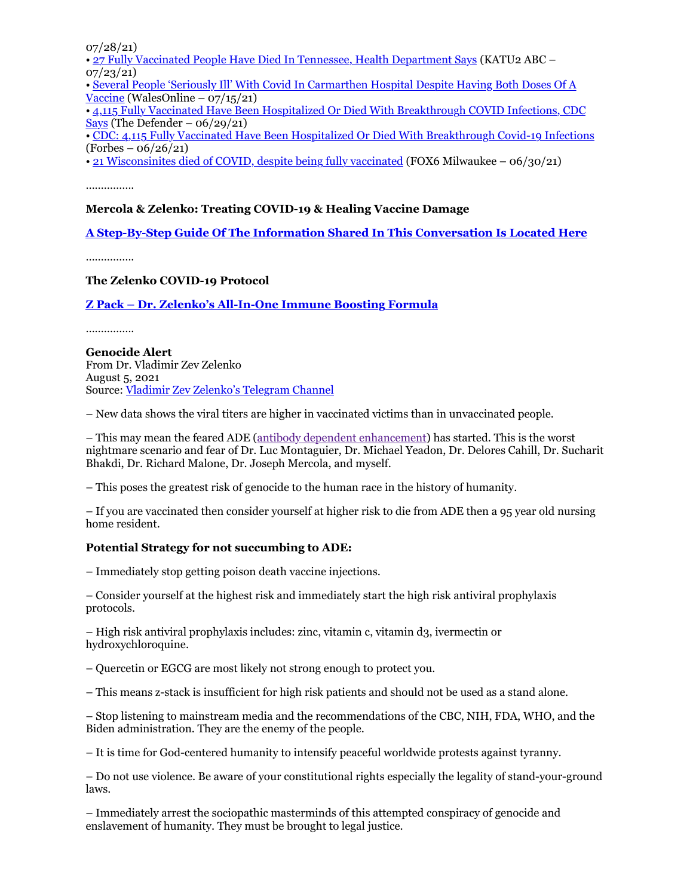07/28/21)

• 27 Fully Vaccinated People Have Died In Tennessee, Health Department Says (KATU2 ABC – 07/23/21)

• Several People 'Seriously Ill' With Covid In Carmarthen Hospital Despite Having Both Doses Of A Vaccine (WalesOnline –  $07/15/21$ )

• 4,115 Fully Vaccinated Have Been Hospitalized Or Died With Breakthrough COVID Infections, CDC Says (The Defender –  $06/29/21$ )

• CDC: 4,115 Fully Vaccinated Have Been Hospitalized Or Died With Breakthrough Covid-19 Infections  $(Forbes - 06/26/21)$ 

• 21 Wisconsinites died of COVID, despite being fully vaccinated (FOX6 Milwaukee – 06/30/21)

……………

## **Mercola & Zelenko: Treating COVID-19 & Healing Vaccine Damage**

**A Step-By-Step Guide Of The Information Shared In This Conversation Is Located Here**

……………

## **The Zelenko COVID-19 Protocol**

## **Z Pack – Dr. Zelenko's All-In-One Immune Boosting Formula**

……………

**Genocide Alert** From Dr. Vladimir Zev Zelenko August 5, 2021 Source: Vladimir Zev Zelenko's Telegram Channel

– New data shows the viral titers are higher in vaccinated victims than in unvaccinated people.

– This may mean the feared ADE (antibody dependent enhancement) has started. This is the worst nightmare scenario and fear of Dr. Luc Montaguier, Dr. Michael Yeadon, Dr. Delores Cahill, Dr. Sucharit Bhakdi, Dr. Richard Malone, Dr. Joseph Mercola, and myself.

– This poses the greatest risk of genocide to the human race in the history of humanity.

– If you are vaccinated then consider yourself at higher risk to die from ADE then a 95 year old nursing home resident.

## **Potential Strategy for not succumbing to ADE:**

– Immediately stop getting poison death vaccine injections.

– Consider yourself at the highest risk and immediately start the high risk antiviral prophylaxis protocols.

– High risk antiviral prophylaxis includes: zinc, vitamin c, vitamin d3, ivermectin or hydroxychloroquine.

– Quercetin or EGCG are most likely not strong enough to protect you.

– This means z-stack is insufficient for high risk patients and should not be used as a stand alone.

– Stop listening to mainstream media and the recommendations of the CBC, NIH, FDA, WHO, and the Biden administration. They are the enemy of the people.

– It is time for God-centered humanity to intensify peaceful worldwide protests against tyranny.

– Do not use violence. Be aware of your constitutional rights especially the legality of stand-your-ground laws.

– Immediately arrest the sociopathic masterminds of this attempted conspiracy of genocide and enslavement of humanity. They must be brought to legal justice.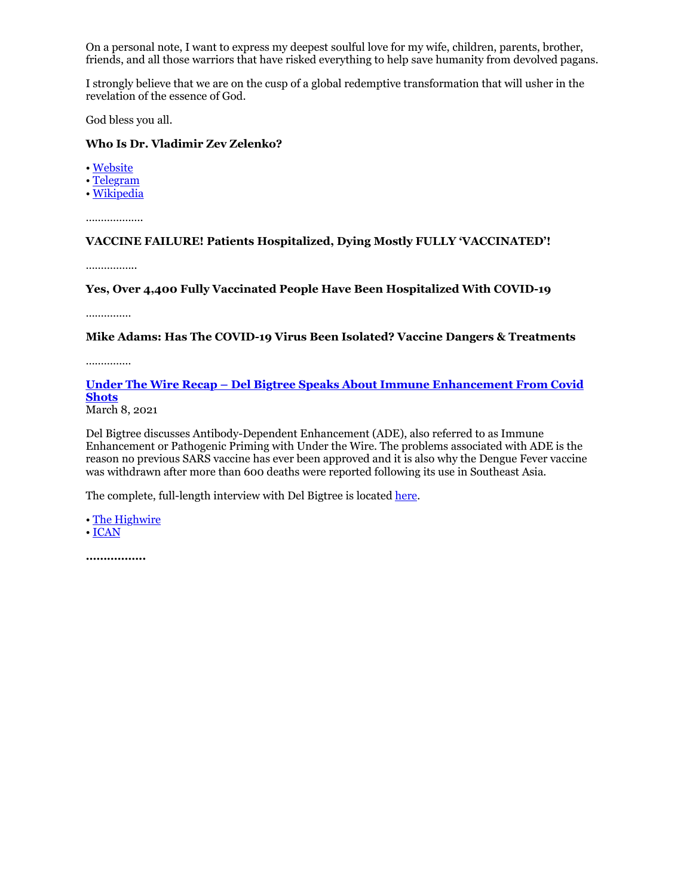On a personal note, I want to express my deepest soulful love for my wife, children, parents, brother, friends, and all those warriors that have risked everything to help save humanity from devolved pagans.

I strongly believe that we are on the cusp of a global redemptive transformation that will usher in the revelation of the essence of God.

God bless you all.

# **Who Is Dr. Vladimir Zev Zelenko?**

• Website

• Telegram

• Wikipedia

……………….

**VACCINE FAILURE! Patients Hospitalized, Dying Mostly FULLY 'VACCINATED'!**

………………

**Yes, Over 4,400 Fully Vaccinated People Have Been Hospitalized With COVID-19**

……………

**Mike Adams: Has The COVID-19 Virus Been Isolated? Vaccine Dangers & Treatments**

……………

**Under The Wire Recap – Del Bigtree Speaks About Immune Enhancement From Covid Shots**

March 8, 2021

Del Bigtree discusses Antibody-Dependent Enhancement (ADE), also referred to as Immune Enhancement or Pathogenic Priming with Under the Wire. The problems associated with ADE is the reason no previous SARS vaccine has ever been approved and it is also why the Dengue Fever vaccine was withdrawn after more than 600 deaths were reported following its use in Southeast Asia.

The complete, full-length interview with Del Bigtree is located here.

• The Highwire • ICAN

**……………..**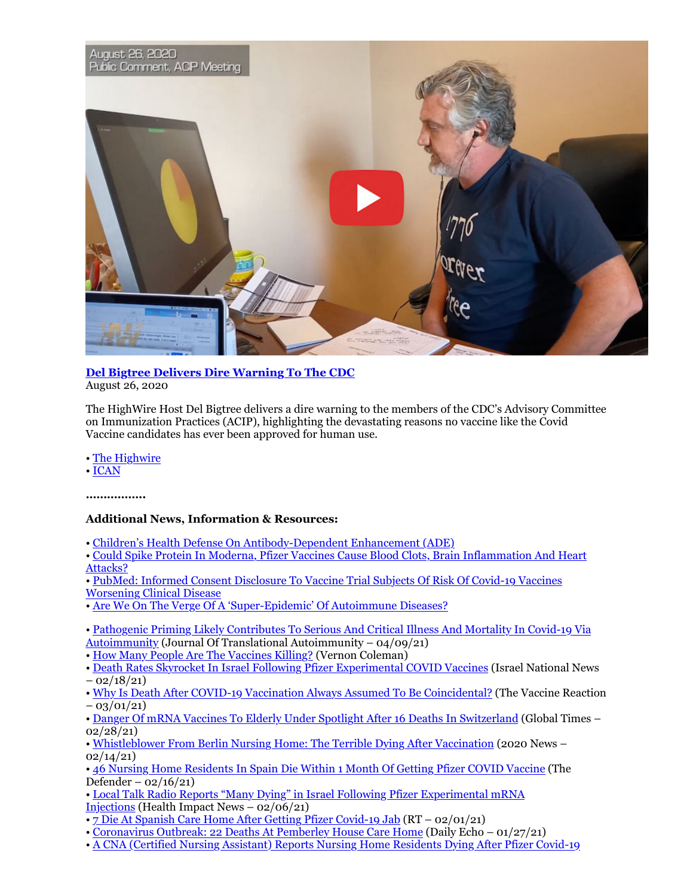

## **Del Bigtree Delivers Dire Warning To The CDC** August 26, 2020

The HighWire Host Del Bigtree delivers a dire warning to the members of the CDC's Advisory Committee on Immunization Practices (ACIP), highlighting the devastating reasons no vaccine like the Covid Vaccine candidates has ever been approved for human use.

• The Highwire

• ICAN

**……………..**

# **Additional News, Information & Resources:**

• Children's Health Defense On Antibody-Dependent Enhancement (ADE)

• Could Spike Protein In Moderna, Pfizer Vaccines Cause Blood Clots, Brain Inflammation And Heart Attacks?

- PubMed: Informed Consent Disclosure To Vaccine Trial Subjects Of Risk Of Covid-19 Vaccines Worsening Clinical Disease
- Are We On The Verge Of A 'Super-Epidemic' Of Autoimmune Diseases?
- Pathogenic Priming Likely Contributes To Serious And Critical Illness And Mortality In Covid-19 Via Autoimmunity (Journal Of Translational Autoimmunity – 04/09/21)
- How Many People Are The Vaccines Killing? (Vernon Coleman)
- Death Rates Skyrocket In Israel Following Pfizer Experimental COVID Vaccines (Israel National News  $- 02/18/21$
- Why Is Death After COVID-19 Vaccination Always Assumed To Be Coincidental? (The Vaccine Reaction  $-$  03/01/21)
- Danger Of mRNA Vaccines To Elderly Under Spotlight After 16 Deaths In Switzerland (Global Times 02/28/21)

• Whistleblower From Berlin Nursing Home: The Terrible Dying After Vaccination (2020 News – 02/14/21)

• 46 Nursing Home Residents In Spain Die Within 1 Month Of Getting Pfizer COVID Vaccine (The Defender –  $02/16/21$ 

- Local Talk Radio Reports "Many Dying" in Israel Following Pfizer Experimental mRNA Injections (Health Impact News – 02/06/21)
- 7 Die At Spanish Care Home After Getting Pfizer Covid-19 Jab (RT 02/01/21)
- Coronavirus Outbreak: 22 Deaths At Pemberley House Care Home (Daily Echo 01/27/21)
- A CNA (Certified Nursing Assistant) Reports Nursing Home Residents Dying After Pfizer Covid-19